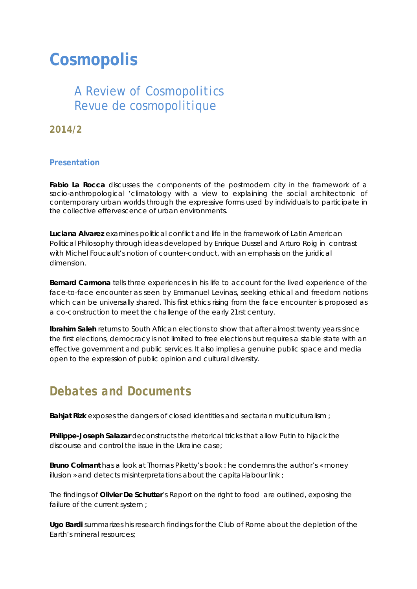# **Cosmopolis**

### *A Review of Cosmopolitics Revue de cosmopolitique*

**2014/2** 

#### **Presentation**

**Fabio La Rocca** discusses the components of the postmodern city in the framework of a socio-anthropological 'climatology with a view to explaining the social architectonic of contemporary urban worlds through the expressive forms used by individuals to participate in the collective effervescence of urban environments.

**Luciana Alvarez** examines political conflict and life in the framework of Latin American Political Philosophy through ideas developed by Enrique Dussel and Arturo Roig in contrast with Michel Foucault's notion of counter-conduct, with an emphasis on the juridical dimension.

**Bernard Carmona** tells three experiences in his life to account for the lived experience of the face-to-face encounter as seen by Emmanuel Levinas, seeking ethical and freedom notions which can be universally shared. This first ethics rising from the face encounter is proposed as a co-construction to meet the challenge of the early 21rst century.

**Ibrahim Saleh** returns to South African elections to show that after almost twenty years since the first elections, democracy is not limited to free elections but requires a stable state with an effective government and public services. It also implies a genuine public space and media open to the expression of public opinion and cultural diversity.

## *Debates and Documents*

**Bahjat Rizk** exposes the dangers of closed identities and sectarian multiculturalism ;

**Philippe-Joseph Salazar** deconstructs the rhetorical tricks that allow Putin to hijack the discourse and control the issue in the Ukraine case;

**Bruno Colmant** has a look at Thomas Piketty's book : he condemns the author's « money illusion » and detects misinterpretations about the capital-labour link;

The findings of **Olivier De Schutter**'s Report on the right to food are outlined, exposing the failure of the current system;

**Ugo Bardi** summarizes his research findings for the Club of Rome about the depletion of the Earth's mineral resources;